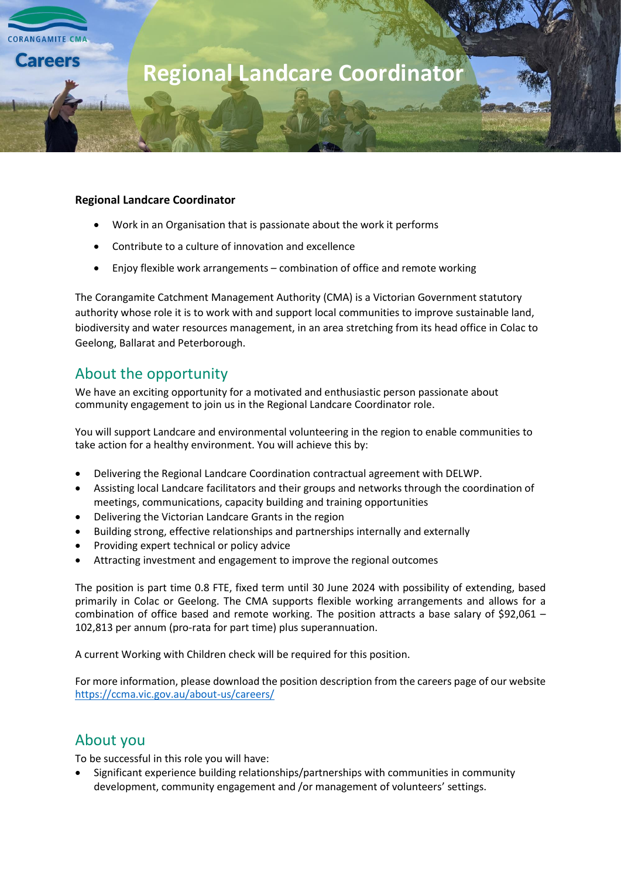

#### **Regional Landcare Coordinator**

- Work in an Organisation that is passionate about the work it performs
- Contribute to a culture of innovation and excellence
- Enjoy flexible work arrangements combination of office and remote working

The Corangamite Catchment Management Authority (CMA) is a Victorian Government statutory authority whose role it is to work with and support local communities to improve sustainable land, biodiversity and water resources management, in an area stretching from its head office in Colac to Geelong, Ballarat and Peterborough.

## About the opportunity

We have an exciting opportunity for a motivated and enthusiastic person passionate about community engagement to join us in the Regional Landcare Coordinator role.

You will support Landcare and environmental volunteering in the region to enable communities to take action for a healthy environment. You will achieve this by:

- Delivering the Regional Landcare Coordination contractual agreement with DELWP.
- Assisting local Landcare facilitators and their groups and networks through the coordination of meetings, communications, capacity building and training opportunities
- Delivering the Victorian Landcare Grants in the region
- Building strong, effective relationships and partnerships internally and externally
- Providing expert technical or policy advice
- Attracting investment and engagement to improve the regional outcomes

The position is part time 0.8 FTE, fixed term until 30 June 2024 with possibility of extending, based primarily in Colac or Geelong. The CMA supports flexible working arrangements and allows for a combination of office based and remote working. The position attracts a base salary of \$92,061 – 102,813 per annum (pro-rata for part time) plus superannuation.

A current Working with Children check will be required for this position.

For more information, please download the position description from the careers page of our website <https://ccma.vic.gov.au/about-us/careers/>

## About you

To be successful in this role you will have:

• Significant experience building relationships/partnerships with communities in community development, community engagement and /or management of volunteers' settings.